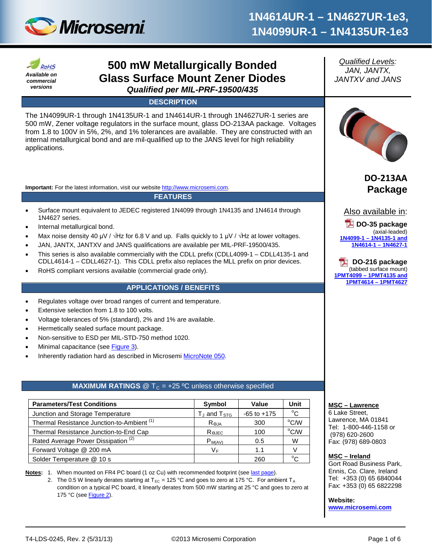



# **500 mW Metallurgically Bonded Glass Surface Mount Zener Diodes** *Qualified per MIL-PRF-19500/435*

**DESCRIPTION**

The 1N4099UR-1 through 1N4135UR-1 and 1N4614UR-1 through 1N4627UR-1 series are 500 mW, Zener voltage regulators in the surface mount, glass DO-213AA package. Voltages from 1.8 to 100V in 5%, 2%, and 1% tolerances are available. They are constructed with an internal metallurgical bond and are mil-qualified up to the JANS level for high reliability applications.

**Important:** For the latest information, visit our website [http://www.microsemi.com.](http://www.microsemi.com/)

**FEATURES**

- Surface mount equivalent to JEDEC registered 1N4099 through 1N4135 and 1N4614 through 1N4627 series.
- Internal metallurgical bond.
- Max noise density 40 μV /  $\sqrt{Hz}$  for 6.8 V and up. Falls quickly to 1 μV /  $\sqrt{Hz}$  at lower voltages.
- JAN, JANTX, JANTXV and JANS qualifications are available per MIL-PRF-19500/435.
- This series is also available commercially with the CDLL prefix (CDLL4099-1 CDLL4135-1 and CDLL4614-1 – CDLL4627-1). This CDLL prefix also replaces the MLL prefix on prior devices.
- RoHS compliant versions available (commercial grade only).

## **APPLICATIONS / BENEFITS**

- Regulates voltage over broad ranges of current and temperature.
- Extensive selection from 1.8 to 100 volts.
- Voltage tolerances of 5% (standard), 2% and 1% are available.
- Hermetically sealed surface mount package.
- Non-sensitive to ESD per MIL-STD-750 method 1020.
- Minimal capacitance (see [Figure 3\)](#page-4-0).
- Inherently radiation hard as described in Microsemi [MicroNote 050.](http://www.microsemi.com/en/sites/default/files/micnotes/050.pdf)

## **MAXIMUM RATINGS**  $@T<sub>C</sub> = +25 °C$  unless otherwise specified

| <b>Parameters/Test Conditions</b>                     | Symbol              | Value           | Unit         |
|-------------------------------------------------------|---------------------|-----------------|--------------|
| Junction and Storage Temperature                      | $T_J$ and $T_{STG}$ | $-65$ to $+175$ | $^{\circ}$ C |
| Thermal Resistance Junction-to-Ambient <sup>(1)</sup> | $R_{\theta,JA}$     | 300             | °C/W         |
| Thermal Resistance Junction-to-End Cap                | $R_{\Theta$ JEC     | 100             | °C/W         |
| Rated Average Power Dissipation <sup>(2)</sup>        | $P_{M(AV)}$         | 0.5             | W            |
| Forward Voltage @ 200 mA                              | VF                  | 1.1             |              |
| Solder Temperature @ 10 s                             |                     | 260             |              |

**Notes:** 1. When mounted on FR4 PC board (1 oz Cu) with recommended footprint (se[e last page\)](#page-5-0).

2. The 0.5 W linearly derates starting at T<sub>EC</sub> = 125 °C and goes to zero at 175 °C. For ambient T<sub>A</sub> condition on a typical PC board, it linearly derates from 500 mW starting at 25 °C and goes to zero at 175 °C (see **Figure 2)**.

*Qualified Levels: JAN, JANTX, JANTXV and JANS*



**DO-213AA Package**



**DO-35 package** (axial-leaded) **1N4099-1 – [1N4135-1](http://www.microsemi.com/existing-parts/parts/4813#docs-specs) and 1N4614-1 – [1N4627-1](http://www.microsemi.com/existing-parts/parts/4813#docs-specs)**

**DO-216 package** (tabbed surface mount) **1PMT4099 – [1PMT4135 and](http://www.microsemi.com/en/products/product-directory/313622)  [1PMT4614](http://www.microsemi.com/en/products/product-directory/313622) – 1PMT4627**

#### **MSC – Lawrence**

6 Lake Street, Lawrence, MA 01841 Tel: 1-800-446-1158 or (978) 620-2600 Fax: (978) 689-0803

#### **MSC – Ireland**

Gort Road Business Park, Ennis, Co. Clare, Ireland Tel: +353 (0) 65 6840044 Fax: +353 (0) 65 6822298

**Website:** 

**[www.microsemi.com](http://www.microsemi.com/)**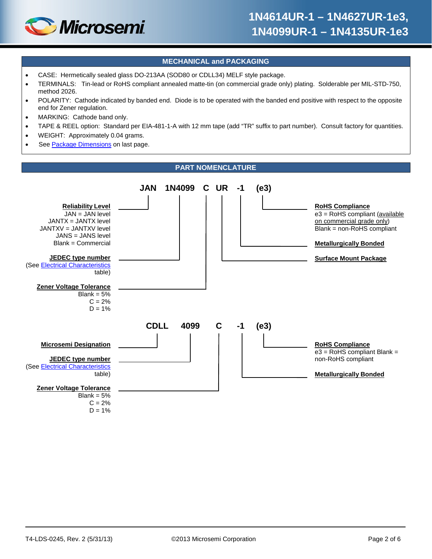

#### **MECHANICAL and PACKAGING**

- CASE: Hermetically sealed glass DO-213AA (SOD80 or CDLL34) MELF style package.
- TERMINALS: Tin-lead or RoHS compliant annealed matte-tin (on commercial grade only) plating. Solderable per MIL-STD-750, method 2026.
- POLARITY: Cathode indicated by banded end. Diode is to be operated with the banded end positive with respect to the opposite end for Zener regulation.
- MARKING: Cathode band only.
- TAPE & REEL option: Standard per EIA-481-1-A with 12 mm tape (add "TR" suffix to part number). Consult factory for quantities.
- WEIGHT: Approximately 0.04 grams.
- See [Package Dimensions](#page-5-1) on last page.

#### **PART NOMENCLATURE**

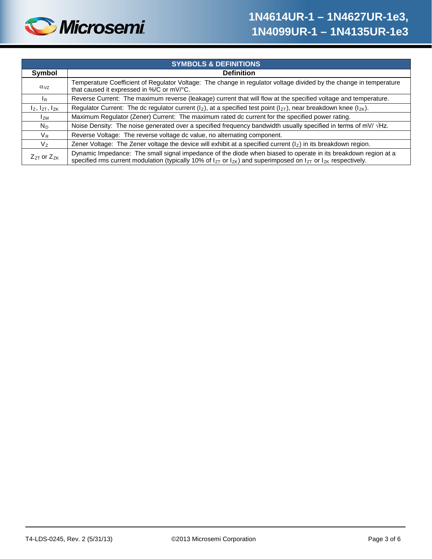

| <b>SYMBOLS &amp; DEFINITIONS</b> |                                                                                                                                                                                                                                                    |  |  |  |
|----------------------------------|----------------------------------------------------------------------------------------------------------------------------------------------------------------------------------------------------------------------------------------------------|--|--|--|
| Symbol                           | <b>Definition</b>                                                                                                                                                                                                                                  |  |  |  |
| $\alpha_{VZ}$                    | Temperature Coefficient of Regulator Voltage: The change in regulator voltage divided by the change in temperature<br>that caused it expressed in %/C or mV/°C.                                                                                    |  |  |  |
| <sup>I</sup> R                   | Reverse Current: The maximum reverse (leakage) current that will flow at the specified voltage and temperature.                                                                                                                                    |  |  |  |
| $I_z$ , $I_{ZT}$ , $I_{ZK}$      | Regulator Current: The dc regulator current ( $I_z$ ), at a specified test point ( $I_{zT}$ ), near breakdown knee ( $I_{zK}$ ).                                                                                                                   |  |  |  |
| <b>I</b> <sub>ZM</sub>           | Maximum Regulator (Zener) Current: The maximum rated dc current for the specified power rating.                                                                                                                                                    |  |  |  |
| $N_D$                            | Noise Density: The noise generated over a specified frequency bandwidth usually specified in terms of mV/ $\sqrt{Hz}$ .                                                                                                                            |  |  |  |
| $V_{R}$                          | Reverse Voltage: The reverse voltage dc value, no alternating component.                                                                                                                                                                           |  |  |  |
| V,                               | Zener Voltage: The Zener voltage the device will exhibit at a specified current $\left(\frac{1}{2}\right)$ in its breakdown region.                                                                                                                |  |  |  |
| $Z_{ZT}$ or $Z_{ZK}$             | Dynamic Impedance: The small signal impedance of the diode when biased to operate in its breakdown region at a<br>specified rms current modulation (typically 10% of $I_{ZT}$ or $I_{ZK}$ ) and superimposed on $I_{ZT}$ or $I_{ZK}$ respectively. |  |  |  |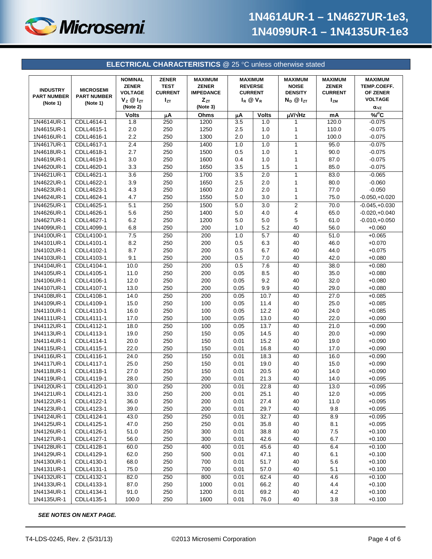

<span id="page-3-0"></span>

|                                                   |                                                    |                                                                                      |                                                           | <b>ELECTRICAL CHARACTERISTICS @ 25 °C unless otherwise stated</b>          |                                                                   |              |                                                                        |                                                                |                                                                              |
|---------------------------------------------------|----------------------------------------------------|--------------------------------------------------------------------------------------|-----------------------------------------------------------|----------------------------------------------------------------------------|-------------------------------------------------------------------|--------------|------------------------------------------------------------------------|----------------------------------------------------------------|------------------------------------------------------------------------------|
| <b>INDUSTRY</b><br><b>PART NUMBER</b><br>(Note 1) | <b>MICROSEMI</b><br><b>PART NUMBER</b><br>(Note 1) | <b>NOMINAL</b><br><b>ZENER</b><br><b>VOLTAGE</b><br>$V_z \otimes I_{ZT}$<br>(Note 2) | <b>ZENER</b><br><b>TEST</b><br><b>CURRENT</b><br>$I_{ZT}$ | <b>MAXIMUM</b><br><b>ZENER</b><br><b>IMPEDANCE</b><br>$Z_{ZT}$<br>(Note 3) | <b>MAXIMUM</b><br><b>REVERSE</b><br><b>CURRENT</b><br>$I_R @ V_R$ |              | <b>MAXIMUM</b><br><b>NOISE</b><br><b>DENSITY</b><br>$N_D$ $@$ $I_{ZT}$ | <b>MAXIMUM</b><br><b>ZENER</b><br><b>CURRENT</b><br><b>IzM</b> | <b>MAXIMUM</b><br>TEMP.COEFF.<br>OF ZENER<br><b>VOLTAGE</b><br>$\alpha_{VZ}$ |
|                                                   |                                                    | <b>Volts</b>                                                                         | μA                                                        | Ohms                                                                       | μA                                                                | <b>Volts</b> | $\mu$ V/ $\sqrt{Hz}$                                                   | mA                                                             | %C                                                                           |
| 1N4614UR-1                                        | CDLL4614-1                                         | 1.8                                                                                  | 250                                                       | 1200                                                                       | $\overline{3.5}$                                                  | 1.0          | 1                                                                      | 120.0                                                          | $-0.075$                                                                     |
| 1N4615UR-1                                        | CDLL4615-1                                         | 2.0                                                                                  | 250                                                       | 1250                                                                       | 2.5                                                               | 1.0          | 1                                                                      | 110.0                                                          | $-0.075$                                                                     |
| 1N4616UR-1                                        | CDLL4616-1                                         | 2.2                                                                                  | 250                                                       | 1300                                                                       | 2.0                                                               | 1.0          | 1                                                                      | 100.0                                                          | $-0.075$                                                                     |
| 1N4617UR-1                                        | CDLL4617-1                                         | 2.4                                                                                  | 250                                                       | 1400                                                                       | 1.0                                                               | 1.0          | 1                                                                      | 95.0                                                           | $-0.075$                                                                     |
| 1N4618UR-1                                        | CDLL4618-1                                         | 2.7                                                                                  | 250                                                       | 1500                                                                       | 0.5                                                               | 1.0          | 1                                                                      | 90.0                                                           | $-0.075$                                                                     |
| 1N4619UR-1                                        | CDLL4619-1                                         | 3.0                                                                                  | 250                                                       | 1600                                                                       | 0.4                                                               | 1.0          | 1                                                                      | 87.0                                                           | $-0.075$                                                                     |
| 1N4620UR-1                                        | CDLL4620-1                                         | 3.3                                                                                  | 250                                                       | 1650                                                                       | 3.5                                                               | 1.5          | 1                                                                      | 85.0                                                           | $-0.075$                                                                     |
| 1N4621UR-1                                        | CDLL4621-1                                         | 3.6                                                                                  | 250                                                       | 1700                                                                       | 3.5                                                               | 2.0          | 1                                                                      | 83.0                                                           | $-0.065$                                                                     |
| 1N4622UR-1                                        | CDLL4622-1                                         | 3.9                                                                                  | 250                                                       | 1650                                                                       | 2.5                                                               | 2.0          | 1                                                                      | 80.0                                                           | $-0.060$                                                                     |
| 1N4623UR-1                                        | CDLL4623-1                                         | 4.3                                                                                  | 250                                                       | 1600                                                                       | 2.0                                                               | 2.0          | 1                                                                      | 77.0                                                           | $-0.050$                                                                     |
| 1N4624UR-1                                        | CDLL4624-1                                         | 4.7                                                                                  | 250                                                       | 1550                                                                       | 5.0                                                               | 3.0          | 1                                                                      | 75.0                                                           | $-0.050,+0.020$                                                              |
| 1N4625UR-1                                        | CDLL4625-1                                         | 5.1                                                                                  | 250                                                       | 1500                                                                       | 5.0                                                               | 3.0          | 2                                                                      | 70.0                                                           | $-0.045,+0.030$                                                              |
| 1N4626UR-1                                        | CDLL4626-1                                         | 5.6                                                                                  | 250                                                       | 1400                                                                       | 5.0                                                               | 4.0          | 4                                                                      | 65.0                                                           | $-0.020,+0.040$                                                              |
| 1N4627UR-1                                        | CDLL4627-1                                         | 6.2                                                                                  | 250                                                       | 1200                                                                       | 5.0                                                               | 5.0          | 5                                                                      | 61.0                                                           | $-0.010,+0.050$                                                              |
| 1N4099UR-1                                        | CDLL4099-1                                         | 6.8                                                                                  | 250                                                       | 200                                                                        | 1.0                                                               | 5.2          | 40                                                                     | 56.0                                                           | $+0.060$                                                                     |
| 1N4100UR-1                                        | CDLL4100-1                                         | 7.5                                                                                  | 250                                                       | 200                                                                        | 1.0                                                               | 5.7          | 40                                                                     | 51.0                                                           | $+0.065$                                                                     |
| 1N4101UR-1                                        | CDLL4101-1                                         | 8.2                                                                                  | 250                                                       | 200                                                                        | 0.5                                                               | 6.3          | 40                                                                     | 46.0                                                           | $+0.070$                                                                     |
| 1N4102UR-1                                        | CDLL4102-1                                         | 8.7                                                                                  | 250                                                       | 200                                                                        | 0.5                                                               | 6.7          | 40                                                                     | 44.0                                                           | $+0.075$                                                                     |
| 1N4103UR-1                                        | CDLL4103-1                                         | 9.1                                                                                  | 250                                                       | 200                                                                        | 0.5                                                               | 7.0          | 40                                                                     | 42.0                                                           | $+0.080$                                                                     |
| 1N4104UR-1                                        | CDLL4104-1                                         | 10.0                                                                                 | 250                                                       | 200                                                                        | 0.5                                                               | 7.6          | 40                                                                     | 38.0                                                           | $+0.080$                                                                     |
| 1N4105UR-1                                        | CDLL4105-1                                         | 11.0                                                                                 | 250                                                       | 200                                                                        | 0.05                                                              | 8.5          | 40                                                                     | 35.0                                                           | $+0.080$                                                                     |
| 1N4106UR-1                                        | CDLL4106-1                                         | 12.0                                                                                 | 250                                                       | 200                                                                        | 0.05                                                              | 9.2          | 40                                                                     | 32.0                                                           | $+0.080$                                                                     |
| 1N4107UR-1                                        | CDLL4107-1                                         | 13.0                                                                                 | 250                                                       | 200                                                                        | 0.05                                                              | 9.9          | 40                                                                     | 29.0                                                           | $+0.080$                                                                     |
| 1N4108UR-1                                        | CDLL4108-1                                         | 14.0                                                                                 | 250                                                       | 200                                                                        | 0.05                                                              | 10.7         | 40                                                                     | 27.0                                                           | $+0.085$                                                                     |
| 1N4109UR-1                                        | CDLL4109-1                                         | 15.0                                                                                 | 250                                                       | 100                                                                        | 0.05                                                              | 11.4         | 40                                                                     | 25.0                                                           | $+0.085$                                                                     |
| 1N4110UR-1                                        | CDLL4110-1                                         | 16.0                                                                                 | 250                                                       | 100                                                                        | 0.05                                                              | 12.2         | 40                                                                     | 24.0                                                           | $+0.085$                                                                     |
| 1N4111UR-1                                        | CDLL4111-1                                         | 17.0                                                                                 | 250                                                       | 100                                                                        | 0.05                                                              | 13.0         | 40                                                                     | 22.0                                                           | $+0.090$                                                                     |
| 1N4112UR-1                                        | CDLL4112-1                                         | 18.0                                                                                 | 250                                                       | 100                                                                        | 0.05                                                              | 13.7         | 40                                                                     | 21.0                                                           | $+0.090$                                                                     |
| 1N4113UR-1                                        | CDLL4113-1                                         | 19.0                                                                                 | 250                                                       | 150                                                                        | 0.05                                                              | 14.5         | 40                                                                     | 20.0                                                           | $+0.090$                                                                     |
| 1N4114UR-1                                        | CDLL4114-1                                         | 20.0                                                                                 | 250                                                       | 150                                                                        | 0.01                                                              | 15.2         | 40                                                                     | 19.0                                                           | $+0.090$                                                                     |
| 1N4115UR-1                                        | CDLL4115-1                                         | 22.0                                                                                 | 250                                                       | 150                                                                        | 0.01                                                              | 16.8         | 40                                                                     | 17.0                                                           | $+0.090$                                                                     |
| 1N4116UR-1                                        | CDLL4116-1                                         | 24.0                                                                                 | 250                                                       | 150                                                                        | 0.01                                                              | 18.3         | 40                                                                     | 16.0                                                           | $+0.090$                                                                     |
| 1N4117UR-1                                        | CDLL4117-1                                         | 25.0                                                                                 | 250                                                       | 150                                                                        | 0.01                                                              | 19.0         | 40                                                                     | 15.0                                                           | $+0.090$                                                                     |
| 1N4118UR-1                                        | CDLL4118-1                                         | 27.0                                                                                 | 250                                                       | 150                                                                        | 0.01                                                              | 20.5         | 40                                                                     | 14.0                                                           | $+0.090$                                                                     |
| 1N4119UR-1                                        | CDLL4119-1                                         | 28.0                                                                                 | 250                                                       | 200                                                                        | 0.01                                                              | 21.3         | 40                                                                     | 14.0                                                           | $+0.095$                                                                     |
| 1N4120UR-1                                        | CDLL4120-1                                         | 30.0                                                                                 | 250                                                       | 200                                                                        | 0.01                                                              | 22.8         | 40                                                                     | 13.0                                                           | $+0.095$                                                                     |
| 1N4121UR-1                                        | CDLL4121-1                                         | 33.0                                                                                 | 250                                                       | 200                                                                        | 0.01                                                              | 25.1         | 40                                                                     | 12.0                                                           | $+0.095$                                                                     |
| 1N4122UR-1                                        | CDLL4122-1                                         | 36.0                                                                                 | 250                                                       | 200                                                                        | 0.01                                                              | 27.4         | 40                                                                     | 11.0                                                           | $+0.095$                                                                     |
| 1N4123UR-1                                        | CDLL4123-1                                         | 39.0                                                                                 | 250                                                       | 200                                                                        | 0.01                                                              | 29.7         | 40                                                                     | 9.8                                                            | $+0.095$                                                                     |
| 1N4124UR-1                                        | CDLL4124-1                                         | 43.0                                                                                 | 250                                                       | 250                                                                        | 0.01                                                              | 32.7         | 40                                                                     | 8.9                                                            | $+0.095$                                                                     |
| 1N4125UR-1                                        | CDLL4125-1                                         | 47.0                                                                                 | 250                                                       | 250                                                                        | 0.01                                                              | 35.8         | 40                                                                     | 8.1                                                            | $+0.095$                                                                     |
| 1N4126UR-1                                        | CDLL4126-1                                         | 51.0                                                                                 | 250                                                       | 300                                                                        | 0.01                                                              | 38.8         | 40                                                                     | 7.5                                                            | $+0.100$                                                                     |
| 1N4127UR-1                                        | CDLL4127-1                                         | 56.0                                                                                 | 250                                                       | 300                                                                        | 0.01                                                              | 42.6         | 40                                                                     | 6.7                                                            | $+0.100$                                                                     |
| 1N4128UR-1                                        | CDLL4128-1                                         | 60.0                                                                                 | 250                                                       | 400                                                                        | 0.01                                                              | 45.6         | 40                                                                     | 6.4                                                            | $+0.100$                                                                     |
| 1N4129UR-1                                        | CDLL4129-1                                         | 62.0                                                                                 | 250                                                       | 500                                                                        | 0.01                                                              | 47.1         | 40                                                                     | 6.1                                                            | $+0.100$                                                                     |
| 1N4130UR-1                                        | CDLL4130-1                                         | 68.0                                                                                 | 250                                                       | 700                                                                        | 0.01                                                              | 51.7         | 40                                                                     | $5.6\,$                                                        | $+0.100$                                                                     |
| 1N4131UR-1                                        | CDLL4131-1                                         | 75.0                                                                                 | 250                                                       | 700                                                                        | 0.01                                                              | 57.0         | 40                                                                     | 5.1                                                            | $+0.100$                                                                     |
| 1N4132UR-1                                        | CDLL4132-1                                         | 82.0                                                                                 | 250                                                       | 800                                                                        | 0.01                                                              | 62.4         | 40                                                                     | 4.6                                                            | $+0.100$                                                                     |
| 1N4133UR-1                                        | CDLL4133-1                                         | 87.0                                                                                 | 250                                                       | 1000                                                                       | 0.01                                                              | 66.2         | 40                                                                     | 4.4                                                            | $+0.100$                                                                     |
| 1N4134UR-1                                        | CDLL4134-1                                         | 91.0                                                                                 | 250                                                       | 1200                                                                       | 0.01                                                              | 69.2         | 40                                                                     | 4.2                                                            | $+0.100$                                                                     |
| 1N4135UR-1                                        | CDLL4135-1                                         | 100.0                                                                                | 250                                                       | 1600                                                                       | 0.01                                                              | 76.0         | 40                                                                     | 3.8                                                            | $+0.100$                                                                     |

*SEE NOTES ON NEXT PAGE.*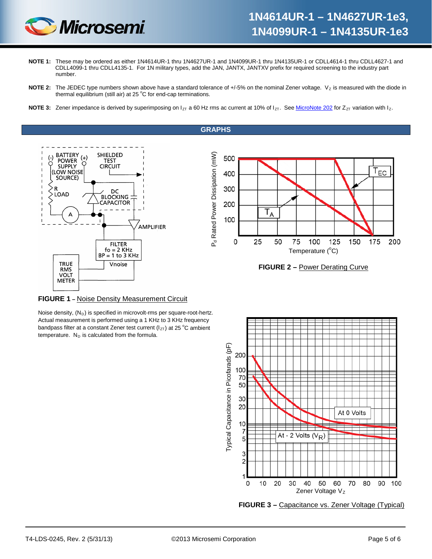

- **NOTE 1:** These may be ordered as either 1N4614UR-1 thru 1N4627UR-1 and 1N4099UR-1 thru 1N4135UR-1 or CDLL4614-1 thru CDLL4627-1 and CDLL4099-1 thru CDLL4135-1. For 1N military types, add the JAN, JANTX, JANTXV prefix for required screening to the industry part number.
- **NOTE 2:** The JEDEC type numbers shown above have a standard tolerance of +/-5% on the nominal Zener voltage. V<sub>z</sub> is measured with the diode in thermal equilibrium (still air) at 25  $^{\circ}$ C for end-cap terminations.
- <span id="page-4-0"></span>**NOTE 3:** Zener impedance is derived by superimposing on  $I_{ZT}$  a 60 Hz rms ac current at 10% of  $I_{ZT}$ . Se[e MicroNote 202](http://www.microsemi.com/en/sites/default/files/micnotes/202.pdf) for  $Z_{ZT}$  variation with  $I_{Z}$ .

**GRAPHS**







#### **FIGURE 1 –** Noise Density Measurement Circuit

Noise density,  $(N_D)$  is specified in microvolt-rms per square-root-hertz. Actual measurement is performed using a 1 KHz to 3 KHz frequency bandpass filter at a constant Zener test current  $(I_{ZT})$  at 25 °C ambient temperature.  $N_D$  is calculated from the formula.



**FIGURE 3 –** Capacitance vs. Zener Voltage (Typical)